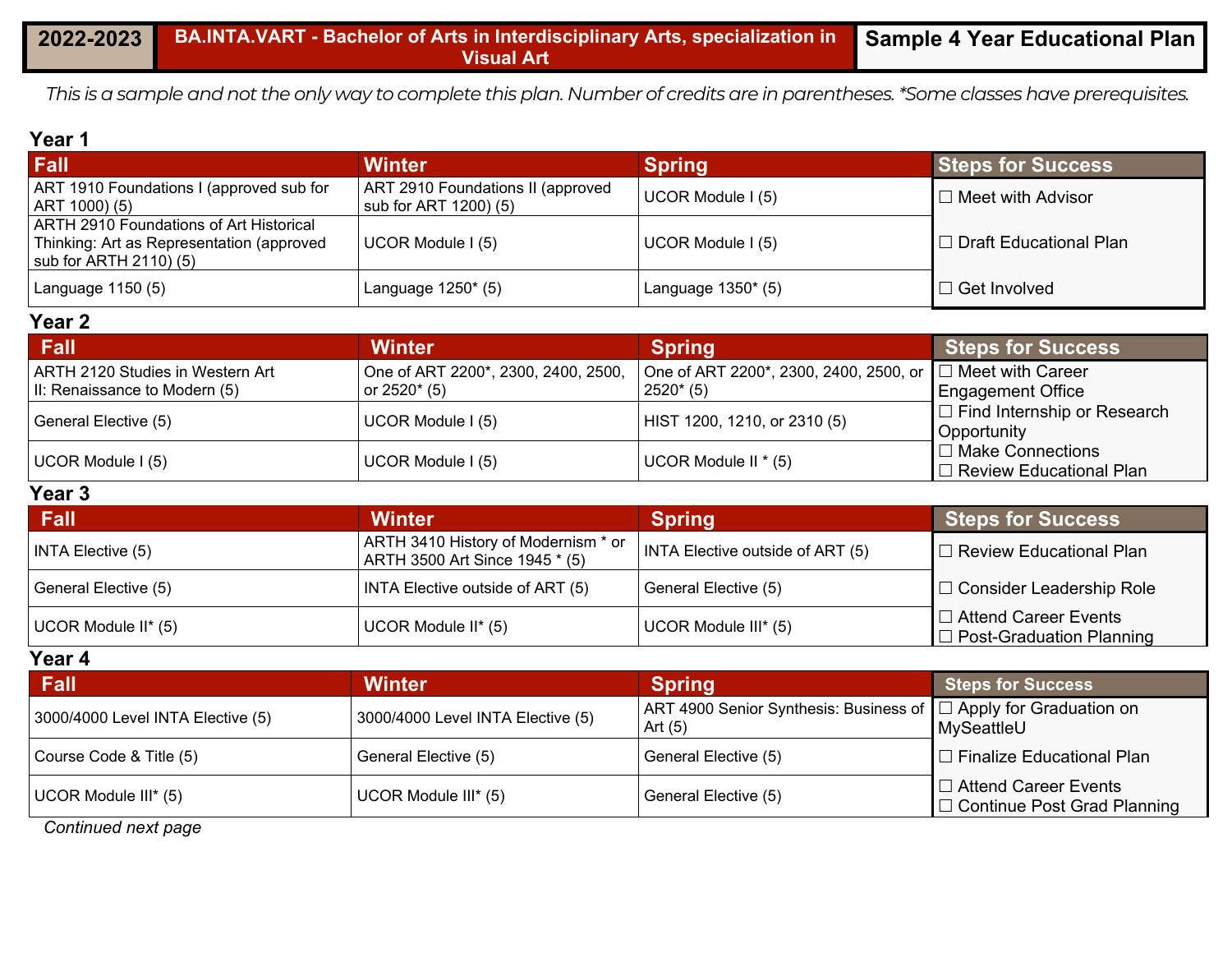*This is a sample and not the only way to complete this plan. Number of credits are in parentheses. \*Some classes have prerequisites.*

#### **Year 1**

| Fall                                                                                                                   | Winter                                                     | <b>Spring</b>        | <b>Steps for Success</b> |
|------------------------------------------------------------------------------------------------------------------------|------------------------------------------------------------|----------------------|--------------------------|
| ART 1910 Foundations I (approved sub for<br>ART 1000) (5)                                                              | ART 2910 Foundations II (approved<br>sub for ART 1200) (5) | UCOR Module I (5)    | $\Box$ Meet with Advisor |
| ARTH 2910 Foundations of Art Historical<br>Thinking: Art as Representation (approved<br>$\vert$ sub for ARTH 2110) (5) | UCOR Module I (5)                                          | UCOR Module I (5)    | □ Draft Educational Plan |
| Language 1150 (5)                                                                                                      | Language $1250^*$ (5)                                      | Language $1350*$ (5) | $\Box$ Get Involved      |

#### **Year 2**

| Fall                             | <b>Winter</b>                       | <b>Spring</b>                                               | <b>Steps for Success</b>           |
|----------------------------------|-------------------------------------|-------------------------------------------------------------|------------------------------------|
| ARTH 2120 Studies in Western Art | One of ART 2200*, 2300, 2400, 2500, | One of ART 2200*, 2300, 2400, 2500, or   □ Meet with Career |                                    |
| II: Renaissance to Modern (5)    | or $2520^*$ (5)                     | $2520*(5)$                                                  | <b>Engagement Office</b>           |
| General Elective (5)             | UCOR Module I (5)                   | HIST 1200, 1210, or 2310 (5)                                | $\Box$ Find Internship or Research |
|                                  |                                     |                                                             | Opportunity                        |
| UCOR Module I (5)                | UCOR Module I (5)                   | UCOR Module II * (5)                                        | $\Box$ Make Connections            |
|                                  |                                     |                                                             | □ Review Educational Plan          |

#### **Year 3**

| Fall                     | <b>Winter</b>                                                         | <b>Spring</b>                    | <b>Steps for Success</b>                                       |
|--------------------------|-----------------------------------------------------------------------|----------------------------------|----------------------------------------------------------------|
| <b>INTA Elective (5)</b> | ARTH 3410 History of Modernism * or<br>ARTH 3500 Art Since 1945 * (5) | INTA Elective outside of ART (5) | $\Box$ Review Educational Plan                                 |
| General Elective (5)     | <b>INTA Elective outside of ART (5)</b>                               | General Elective (5)             | □ Consider Leadership Role                                     |
| UCOR Module II* (5)      | UCOR Module II* (5)                                                   | UCOR Module III* (5)             | $\Box$ Attend Career Events<br>$\Box$ Post-Graduation Planning |

**Year 4**

| <b>Fall</b>                       | <b>Winter</b>                     | <b>Spring</b>                                                                 | <b>Steps for Success</b>                                          |
|-----------------------------------|-----------------------------------|-------------------------------------------------------------------------------|-------------------------------------------------------------------|
| 3000/4000 Level INTA Elective (5) | 3000/4000 Level INTA Elective (5) | ART 4900 Senior Synthesis: Business of   □ Apply for Graduation on<br>Art (5) | MySeattleU                                                        |
| Course Code & Title (5)           | General Elective (5)              | General Elective (5)                                                          | $\Box$ Finalize Educational Plan                                  |
| UCOR Module III* (5)              | UCOR Module III* (5)              | General Elective (5)                                                          | $\Box$ Attend Career Events<br>$\Box$ Continue Post Grad Planning |

*Continued next page*